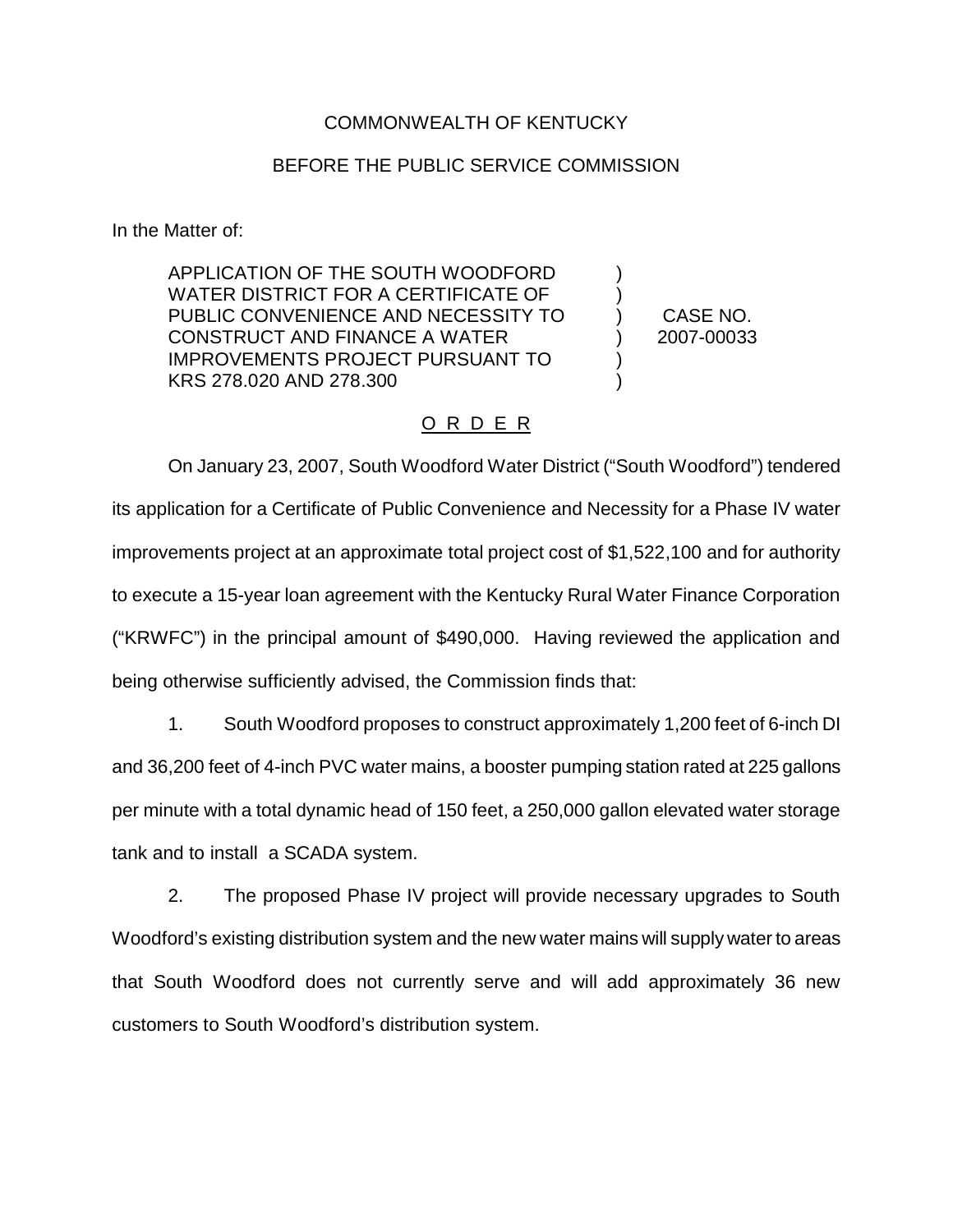## COMMONWEALTH OF KENTUCKY

## BEFORE THE PUBLIC SERVICE COMMISSION

In the Matter of:

APPLICATION OF THE SOUTH WOODFORD WATER DISTRICT FOR A CERTIFICATE OF PUBLIC CONVENIENCE AND NECESSITY TO CONSTRUCT AND FINANCE A WATER IMPROVEMENTS PROJECT PURSUANT TO KRS 278.020 AND 278.300

CASE NO. 2007-00033

) ) ) ) ) )

## O R D E R

On January 23, 2007, South Woodford Water District ("South Woodford") tendered its application for a Certificate of Public Convenience and Necessity for a Phase IV water improvements project at an approximate total project cost of \$1,522,100 and for authority to execute a 15-year loan agreement with the Kentucky Rural Water Finance Corporation ("KRWFC") in the principal amount of \$490,000. Having reviewed the application and being otherwise sufficiently advised, the Commission finds that:

1. South Woodford proposes to construct approximately 1,200 feet of 6-inch DI and 36,200 feet of 4-inch PVC water mains, a booster pumping station rated at 225 gallons per minute with a total dynamic head of 150 feet, a 250,000 gallon elevated water storage tank and to install a SCADA system.

2. The proposed Phase IV project will provide necessary upgrades to South Woodford's existing distribution system and the new water mains will supply water to areas that South Woodford does not currently serve and will add approximately 36 new customers to South Woodford's distribution system.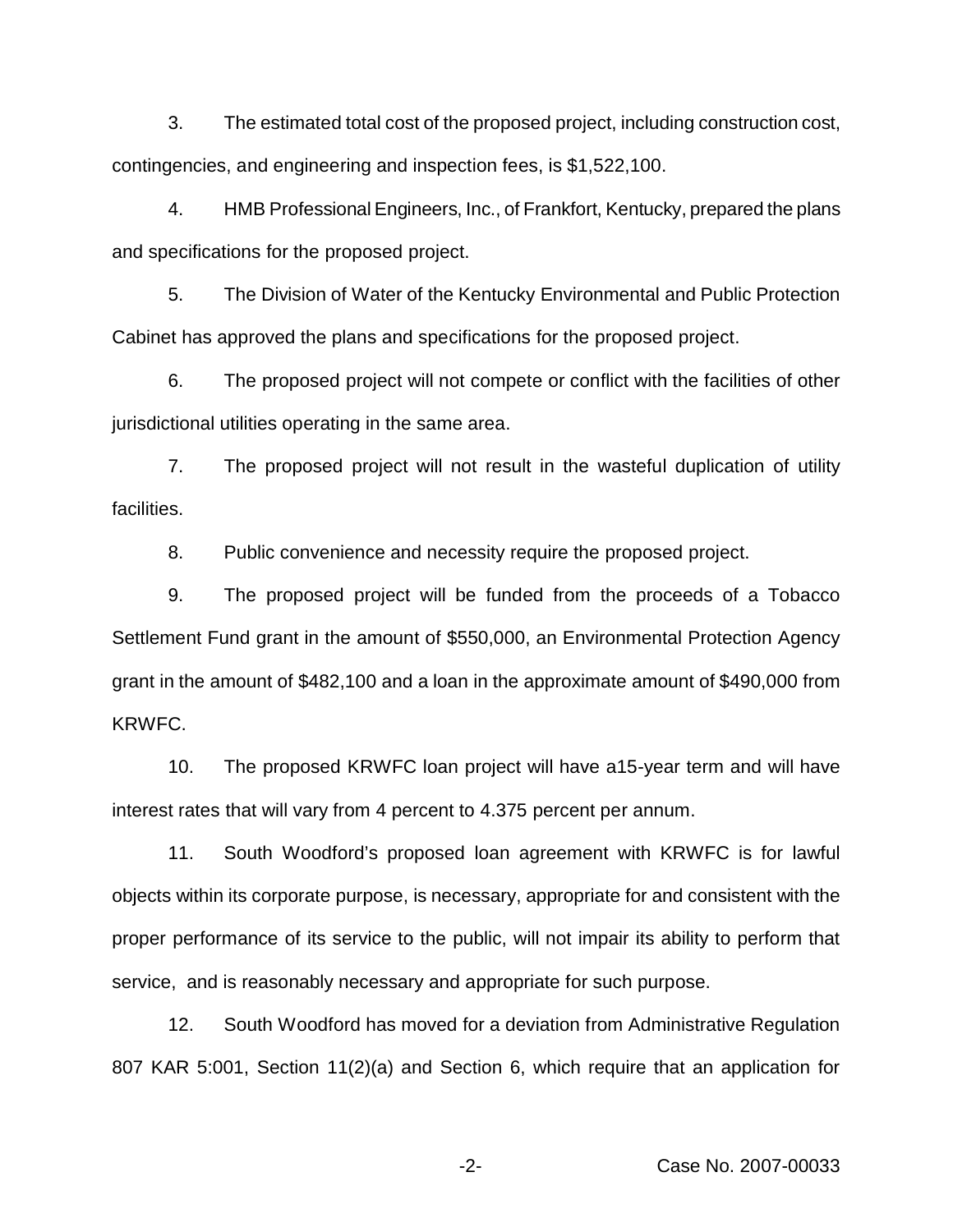3. The estimated total cost of the proposed project, including construction cost, contingencies, and engineering and inspection fees, is \$1,522,100.

4. HMB Professional Engineers, Inc., of Frankfort, Kentucky, prepared the plans and specifications for the proposed project.

5. The Division of Water of the Kentucky Environmental and Public Protection Cabinet has approved the plans and specifications for the proposed project.

6. The proposed project will not compete or conflict with the facilities of other jurisdictional utilities operating in the same area.

7. The proposed project will not result in the wasteful duplication of utility facilities.

8. Public convenience and necessity require the proposed project.

9. The proposed project will be funded from the proceeds of a Tobacco Settlement Fund grant in the amount of \$550,000, an Environmental Protection Agency grant in the amount of \$482,100 and a loan in the approximate amount of \$490,000 from KRWFC.

10. The proposed KRWFC loan project will have a15-year term and will have interest rates that will vary from 4 percent to 4.375 percent per annum.

11. South Woodford's proposed loan agreement with KRWFC is for lawful objects within its corporate purpose, is necessary, appropriate for and consistent with the proper performance of its service to the public, will not impair its ability to perform that service, and is reasonably necessary and appropriate for such purpose.

12. South Woodford has moved for a deviation from Administrative Regulation 807 KAR 5:001, Section 11(2)(a) and Section 6, which require that an application for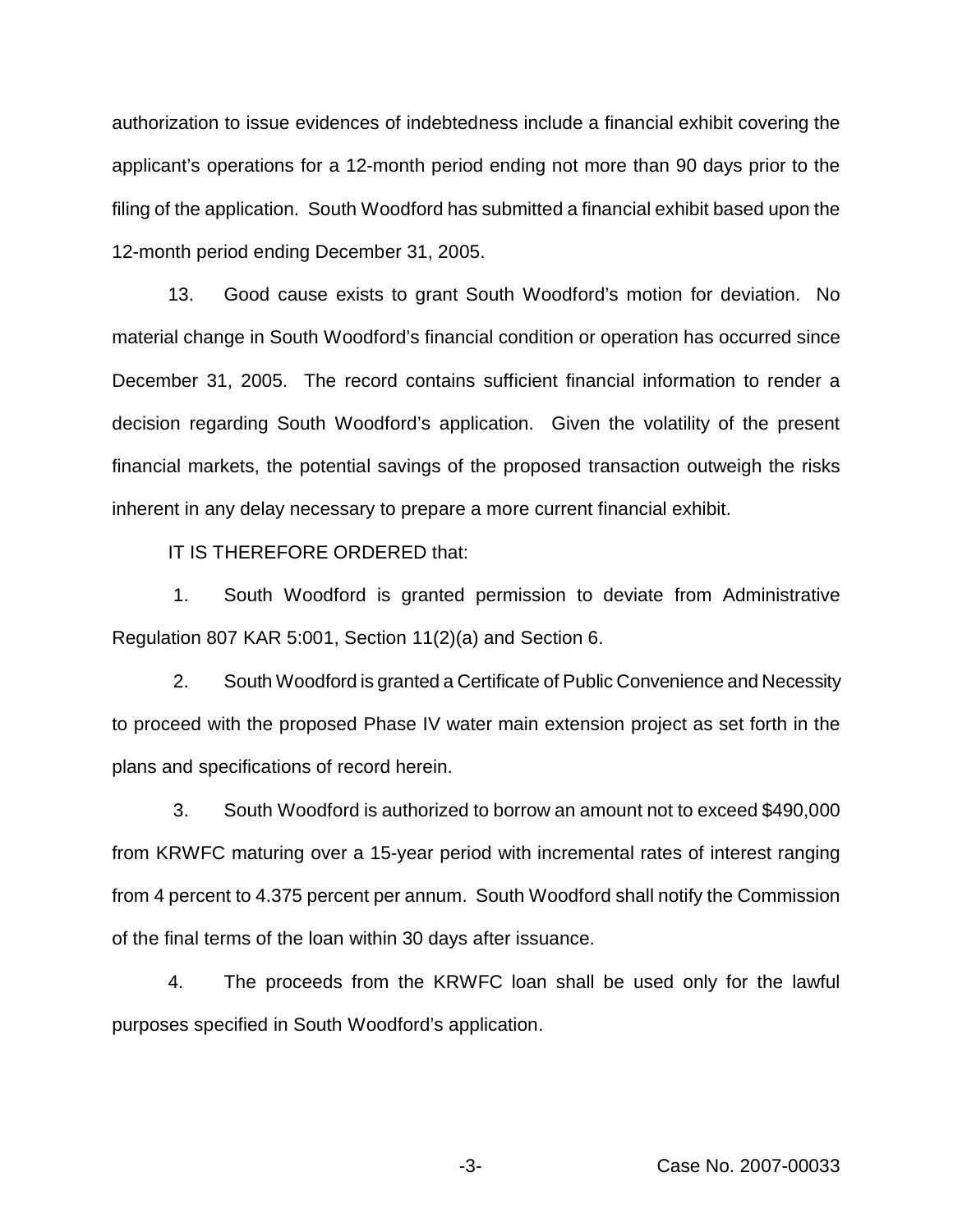authorization to issue evidences of indebtedness include a financial exhibit covering the applicant's operations for a 12-month period ending not more than 90 days prior to the filing of the application. South Woodford has submitted a financial exhibit based upon the 12-month period ending December 31, 2005.

13. Good cause exists to grant South Woodford's motion for deviation. No material change in South Woodford's financial condition or operation has occurred since December 31, 2005. The record contains sufficient financial information to render a decision regarding South Woodford's application. Given the volatility of the present financial markets, the potential savings of the proposed transaction outweigh the risks inherent in any delay necessary to prepare a more current financial exhibit.

IT IS THEREFORE ORDERED that:

1. South Woodford is granted permission to deviate from Administrative Regulation 807 KAR 5:001, Section 11(2)(a) and Section 6.

2. South Woodford is granted a Certificate of Public Convenience and Necessity to proceed with the proposed Phase IV water main extension project as set forth in the plans and specifications of record herein.

3. South Woodford is authorized to borrow an amount not to exceed \$490,000 from KRWFC maturing over a 15-year period with incremental rates of interest ranging from 4 percent to 4.375 percent per annum. South Woodford shall notify the Commission of the final terms of the loan within 30 days after issuance.

4. The proceeds from the KRWFC loan shall be used only for the lawful purposes specified in South Woodford's application.

-3- Case No. 2007-00033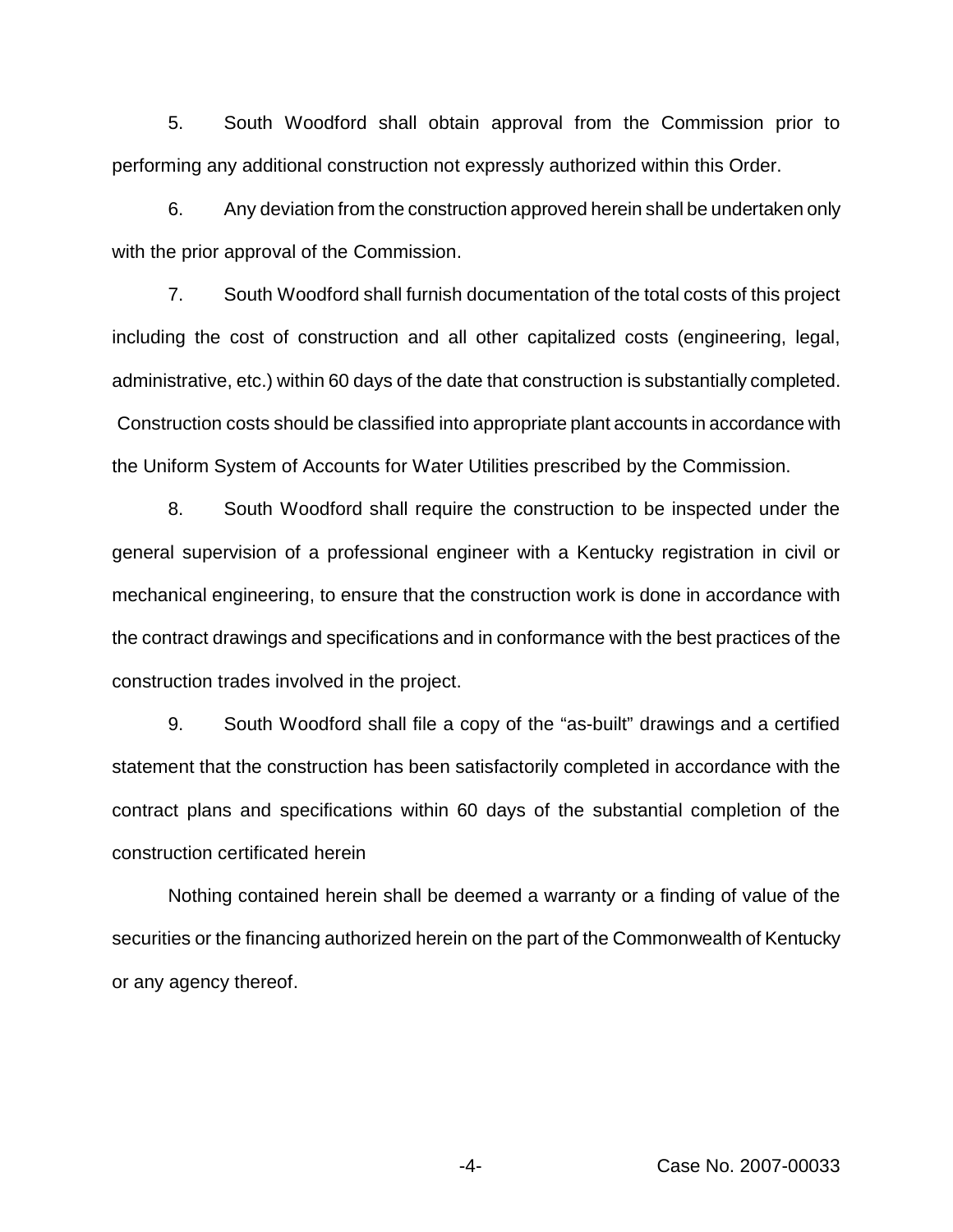5. South Woodford shall obtain approval from the Commission prior to performing any additional construction not expressly authorized within this Order.

6. Any deviation from the construction approved herein shall be undertaken only with the prior approval of the Commission.

7. South Woodford shall furnish documentation of the total costs of this project including the cost of construction and all other capitalized costs (engineering, legal, administrative, etc.) within 60 days of the date that construction is substantially completed. Construction costs should be classified into appropriate plant accounts in accordance with the Uniform System of Accounts for Water Utilities prescribed by the Commission.

8. South Woodford shall require the construction to be inspected under the general supervision of a professional engineer with a Kentucky registration in civil or mechanical engineering, to ensure that the construction work is done in accordance with the contract drawings and specifications and in conformance with the best practices of the construction trades involved in the project.

9. South Woodford shall file a copy of the "as-built" drawings and a certified statement that the construction has been satisfactorily completed in accordance with the contract plans and specifications within 60 days of the substantial completion of the construction certificated herein

Nothing contained herein shall be deemed a warranty or a finding of value of the securities or the financing authorized herein on the part of the Commonwealth of Kentucky or any agency thereof.